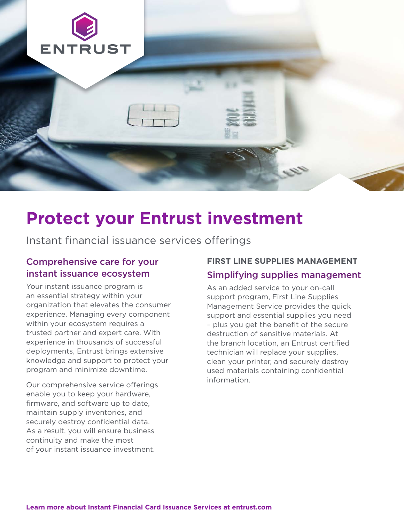

# **Protect your Entrust investment**

Instant financial issuance services offerings

## Comprehensive care for your instant issuance ecosystem

Your instant issuance program is an essential strategy within your organization that elevates the consumer experience. Managing every component within your ecosystem requires a trusted partner and expert care. With experience in thousands of successful deployments, Entrust brings extensive knowledge and support to protect your program and minimize downtime.

Our comprehensive service offerings enable you to keep your hardware, firmware, and software up to date, maintain supply inventories, and securely destroy confidential data. As a result, you will ensure business continuity and make the most of your instant issuance investment.

#### **FIRST LINE SUPPLIES MANAGEMENT**

## Simplifying supplies management

As an added service to your on-call support program, First Line Supplies Management Service provides the quick support and essential supplies you need – plus you get the benefit of the secure destruction of sensitive materials. At the branch location, an Entrust certified technician will replace your supplies, clean your printer, and securely destroy used materials containing confidential information.